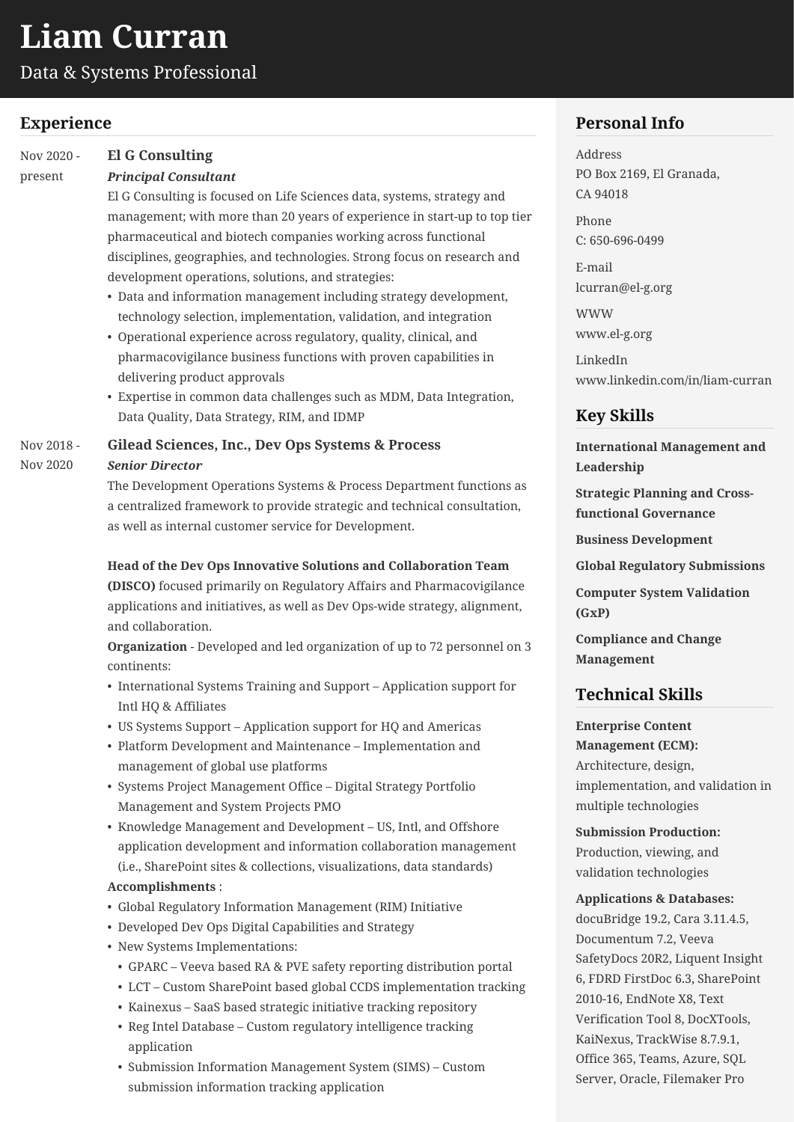# **Liam Curran**

Data & Systems Professional

# **Experience**

### present

Nov 2020 - **El G Consulting**

*Principal Consultant*

El G Consulting is focused on Life Sciences data, systems, strategy and management; with more than 20 years of experience in start-up to top tier pharmaceutical and biotech companies working across functional disciplines, geographies, and technologies. Strong focus on research and development operations, solutions, and strategies:

- Data and information management including strategy development, technology selection, implementation, validation, and integration
- Operational experience across regulatory, quality, clinical, and pharmacovigilance business functions with proven capabilities in delivering product approvals
- Expertise in common data challenges such as MDM, Data Integration, Data Quality, Data Strategy, RIM, and IDMP

• International Systems Training and Support – Application support for Intl HQ & Affiliates

#### Nov 2018 - **Gilead Sciences, Inc., Dev Ops Systems & Process**

#### Nov 2020 *Senior Director*

The Development Operations Systems & Process Department functions as a centralized framework to provide strategic and technical consultation, as well as internal customer service for Development.

### **Head of the Dev Ops Innovative Solutions and Collaboration Team**

**(DISCO)** focused primarily on Regulatory Affairs and Pharmacovigilance applications and initiatives, as well as Dev Ops-wide strategy, alignment, and collaboration.

**Organization** - Developed and led organization of up to 72 personnel on 3 continents:

- US Systems Support Application support for HQ and Americas
- Platform Development and Maintenance Implementation and management of global use platforms
- Systems Project Management Office Digital Strategy Portfolio Management and System Projects PMO
- **Accomplishments** : • Knowledge Management and Development – US, Intl, and Offshore application development and information collaboration management (i.e., SharePoint sites & collections, visualizations, data standards)
- Global Regulatory Information Management (RIM) Initiative
- Developed Dev Ops Digital Capabilities and Strategy
- New Systems Implementations:
	- GPARC Veeva based RA & PVE safety reporting distribution portal
	- LCT Custom SharePoint based global CCDS implementation tracking
	- Kainexus SaaS based strategic initiative tracking repository
	- Reg Intel Database Custom regulatory intelligence tracking application
	- Submission Information Management System (SIMS) Custom submission information tracking application

# **Personal Info**

Address PO Box 2169, El Granada, CA 94018 Phone C: 650-696-0499 E-mail [lcurran@el-g.org](mailto:lcurran@el-g.org) WWW [www.el-g.org](http://www.el-g.org/) LinkedIn [www.linkedin.com/in/liam-curran](http://www.linkedin.com/in/liam-curran)

# **Key Skills**

**International Management and Leadership Strategic Planning and Crossfunctional Governance Business Development Global Regulatory Submissions Computer System Validation (GxP) Compliance and Change Management**

# **Technical Skills**

# **Enterprise Content Management (ECM):**

Architecture, design, implementation, and validation in multiple technologies

### **Submission Production:**

Production, viewing, and validation technologies

# **Applications & Databases:** docuBridge 19.2, Cara 3.11.4.5, Documentum 7.2, Veeva SafetyDocs 20R2, Liquent Insight 6, FDRD FirstDoc 6.3, SharePoint 2010-16, EndNote X8, Text Verification Tool 8, DocXTools, KaiNexus, TrackWise 8.7.9.1, Office 365, Teams, Azure, SQL Server, Oracle, Filemaker Pro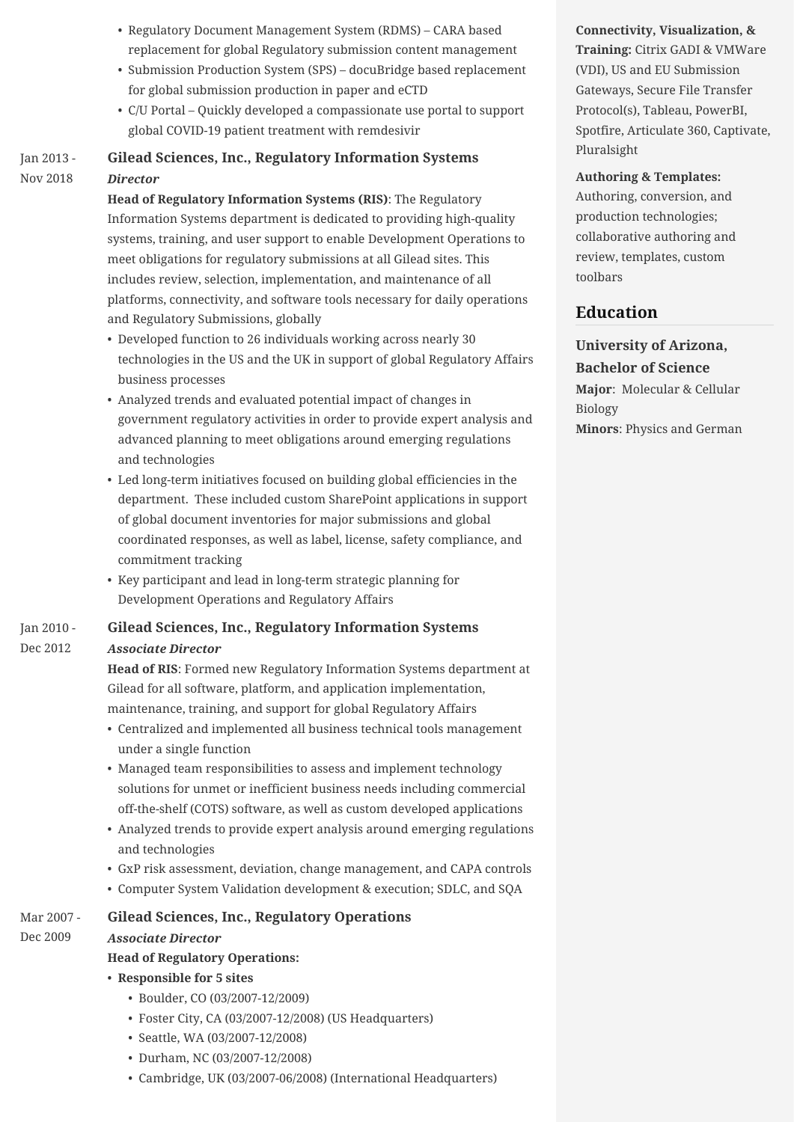- Regulatory Document Management System (RDMS) CARA based replacement for global Regulatory submission content management
- Submission Production System (SPS) docuBridge based replacement for global submission production in paper and eCTD
- C/U Portal Quickly developed a compassionate use portal to support global COVID-19 patient treatment with remdesivir

#### Jan 2013 - Nov 2018 **Gilead Sciences, Inc., Regulatory Information Systems** *Director*

**Head of Regulatory Information Systems (RIS)**: The Regulatory Information Systems department is dedicated to providing high-quality systems, training, and user support to enable Development Operations to meet obligations for regulatory submissions at all Gilead sites. This includes review, selection, implementation, and maintenance of all platforms, connectivity, and software tools necessary for daily operations and Regulatory Submissions, globally

- Developed function to 26 individuals working across nearly 30 technologies in the US and the UK in support of global Regulatory Affairs business processes
- Analyzed trends and evaluated potential impact of changes in government regulatory activities in order to provide expert analysis and advanced planning to meet obligations around emerging regulations and technologies
- Led long-term initiatives focused on building global efficiencies in the department. These included custom SharePoint applications in support of global document inventories for major submissions and global coordinated responses, as well as label, license, safety compliance, and commitment tracking
- Key participant and lead in long-term strategic planning for Development Operations and Regulatory Affairs

#### Jan 2010 - **Gilead Sciences, Inc., Regulatory Information Systems**

#### Dec 2012 *Associate Director*

**Head of RIS**: Formed new Regulatory Information Systems department at Gilead for all software, platform, and application implementation, maintenance, training, and support for global Regulatory Affairs

- Centralized and implemented all business technical tools management under a single function
- Managed team responsibilities to assess and implement technology solutions for unmet or inefficient business needs including commercial off-the-shelf (COTS) software, as well as custom developed applications
- Analyzed trends to provide expert analysis around emerging regulations and technologies
- GxP risk assessment, deviation, change management, and CAPA controls
- Computer System Validation development & execution; SDLC, and SQA
- Mar 2007 **Gilead Sciences, Inc., Regulatory Operations**
- Dec 2009 *Associate Director*

## **Head of Regulatory Operations:**

- **Responsible for 5 sites**
	- Boulder, CO (03/2007-12/2009)
	- Foster City, CA (03/2007-12/2008) (US Headquarters)
	- Seattle, WA (03/2007-12/2008)
	- Durham, NC (03/2007-12/2008)
	- Cambridge, UK (03/2007-06/2008) (International Headquarters)

### **Connectivity, Visualization, &**

**Training:** Citrix GADI & VMWare (VDI), US and EU Submission Gateways, Secure File Transfer Protocol(s), Tableau, PowerBI, Spotfire, Articulate 360, Captivate, Pluralsight

### **Authoring & Templates:**

Authoring, conversion, and production technologies; collaborative authoring and review, templates, custom toolbars

# **Education**

# **University of Arizona, Bachelor of Science Major**: Molecular & Cellular Biology **Minors**: Physics and German